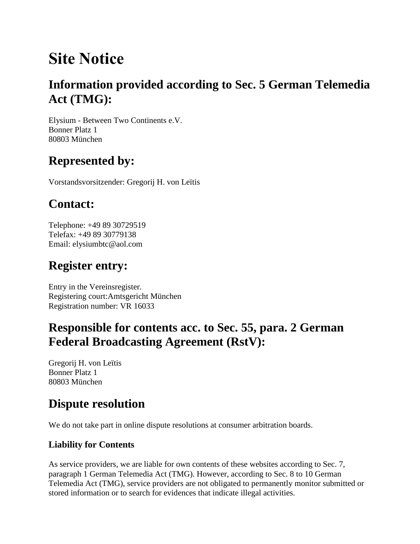# **Site Notice**

### **Information provided according to Sec. 5 German Telemedia Act (TMG):**

Elysium - Between Two Continents e.V. Bonner Platz 1 80803 München

### **Represented by:**

Vorstandsvorsitzender: Gregorij H. von Leïtis

# **Contact:**

Telephone: +49 89 30729519 Telefax: +49 89 30779138 Email: elysiumbtc@aol.com

# **Register entry:**

Entry in the Vereinsregister. Registering court:Amtsgericht München Registration number: VR 16033

#### **Responsible for contents acc. to Sec. 55, para. 2 German Federal Broadcasting Agreement (RstV):**

Gregorij H. von Leïtis Bonner Platz 1 80803 München

### **Dispute resolution**

We do not take part in online dispute resolutions at consumer arbitration boards.

#### **Liability for Contents**

As service providers, we are liable for own contents of these websites according to Sec. 7, paragraph 1 German Telemedia Act (TMG). However, according to Sec. 8 to 10 German Telemedia Act (TMG), service providers are not obligated to permanently monitor submitted or stored information or to search for evidences that indicate illegal activities.